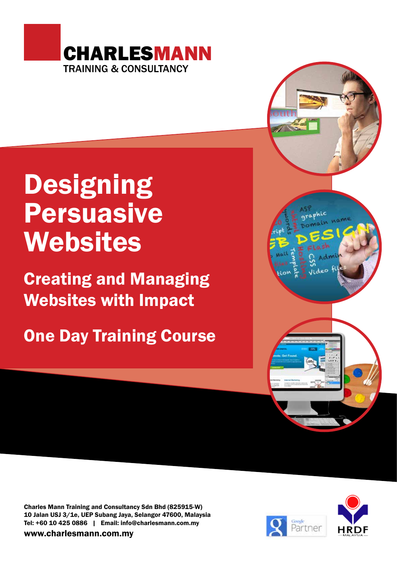

# **Designing** Persuasive Websites

Creating and Managing Websites with Impact

One Day Training Course

Charles Mann Training and Consultancy Sdn Bhd (825915-W) 10 Jalan USJ 3/1e, UEP Subang Jaya, Selangor 47600, Malaysia Tel: +60 10 425 0886 | Email: info@charlesmann.com.my

www.charlesmann.com.my



aphic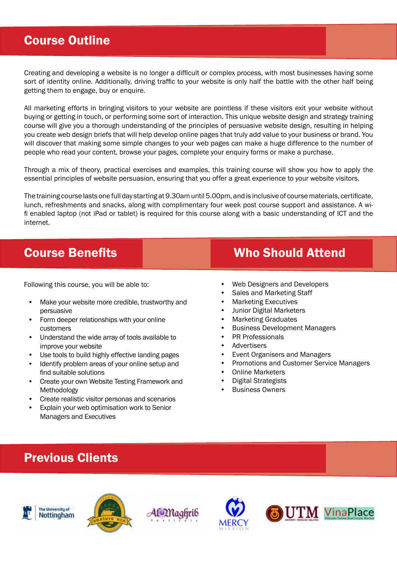### Course Outline

Creating and developing a website is no longer a difficult or complex process, with most businesses having some sort of identity online. Additionally, driving traffic to your website is only half the battle with the other half being getting them to engage, buy or enquire.

All marketing efforts in bringing visitors to your website are pointless if these visitors exit your website without buying or getting in touch, or performing some sort of interaction. This unique website design and strategy training course will give you a thorough understanding of the principles of persuasive website design, resulting in helping you create web design briefs that will help develop online pages that truly add value to your business or brand. You will discover that making some simple changes to your web pages can make a huge difference to the number of people who read your content, browse your pages, complete your enquiry forms or make a purchase.

Through a mix of theory, practical exercises and examples, this training course will show you how to apply the essential principles of website persuasion, ensuring that you offer a great experience to your website visitors.

The training course lasts one full day starting at 9.30am until 5.00pm, and is inclusive of course materials, certificate, lunch, refreshments and snacks, along with complimentary four week post course support and assistance. A wifi enabled laptop (not iPad or tablet) is required for this course along with a basic understanding of ICT and the internet.

Following this course, you will be able to:

- Make your website more credible, trustworthy and persuasive
- Form deeper relationships with your online customers
- Understand the wide array of tools available to improve your website
- Use tools to build highly effective landing pages
- Identify problem areas of your online setup and find suitable solutions
- Create your own Website Testing Framework and Methodology
- Create realistic visitor personas and scenarios
- Explain your web optimisation work to Senior Managers and Executives

### **Course Benefits Course Benefits** Who Should Attend

- Web Designers and Developers
- Sales and Marketing Staff
- Marketing Executives
- Junior Digital Marketers
- Marketing Graduates
- Business Development Managers
- PR Professionals
- **Advertisers**
- Event Organisers and Managers
- Promotions and Customer Service Managers
- Online Marketers
- Digital Strategists
- **Business Owners**

### Previous Clients







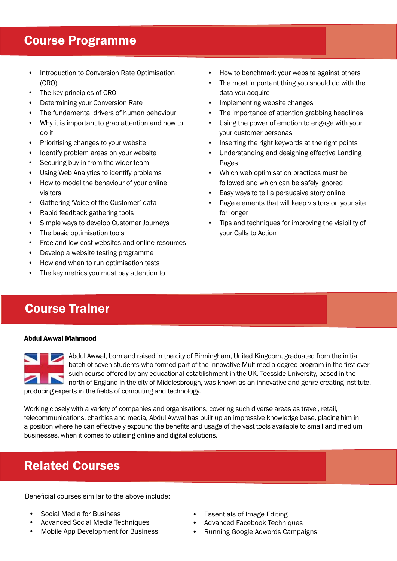#### Course Programme

- Introduction to Conversion Rate Optimisation (CRO)
- The key principles of CRO
- Determining your Conversion Rate
- The fundamental drivers of human behaviour
- Why it is important to grab attention and how to do it
- Prioritising changes to your website
- Identify problem areas on your website
- Securing buy-in from the wider team
- Using Web Analytics to identify problems
- How to model the behaviour of your online visitors
- Gathering 'Voice of the Customer' data
- Rapid feedback gathering tools
- Simple ways to develop Customer Journeys
- The basic optimisation tools
- Free and low-cost websites and online resources
- Develop a website testing programme
- How and when to run optimisation tests
- The key metrics you must pay attention to
- How to benchmark your website against others
- The most important thing you should do with the data you acquire
- Implementing website changes
- The importance of attention grabbing headlines
- Using the power of emotion to engage with your your customer personas
- Inserting the right keywords at the right points
- Understanding and designing effective Landing Pages
- Which web optimisation practices must be followed and which can be safely ignored
- Easy ways to tell a persuasive story online
- Page elements that will keep visitors on your site for longer
- Tips and techniques for improving the visibility of your Calls to Action

# Course Trainer

#### Abdul Awwal Mahmood



Abdul Awwal, born and raised in the city of Birmingham, United Kingdom, graduated from the initial batch of seven students who formed part of the innovative Multimedia degree program in the first ever such course offered by any educational establishment in the UK. Teesside University, based in the north of England in the city of Middlesbrough, was known as an innovative and genre-creating institute, producing experts in the fields of computing and technology.

Working closely with a variety of companies and organisations, covering such diverse areas as travel, retail, telecommunications, charities and media, Abdul Awwal has built up an impressive knowledge base, placing him in a position where he can effectively expound the benefits and usage of the vast tools available to small and medium businesses, when it comes to utilising online and digital solutions.

### Related Courses

Beneficial courses similar to the above include:

- Social Media for Business
- Advanced Social Media Techniques
- Mobile App Development for Business
- **Essentials of Image Editing**
- Advanced Facebook Techniques
- Running Google Adwords Campaigns